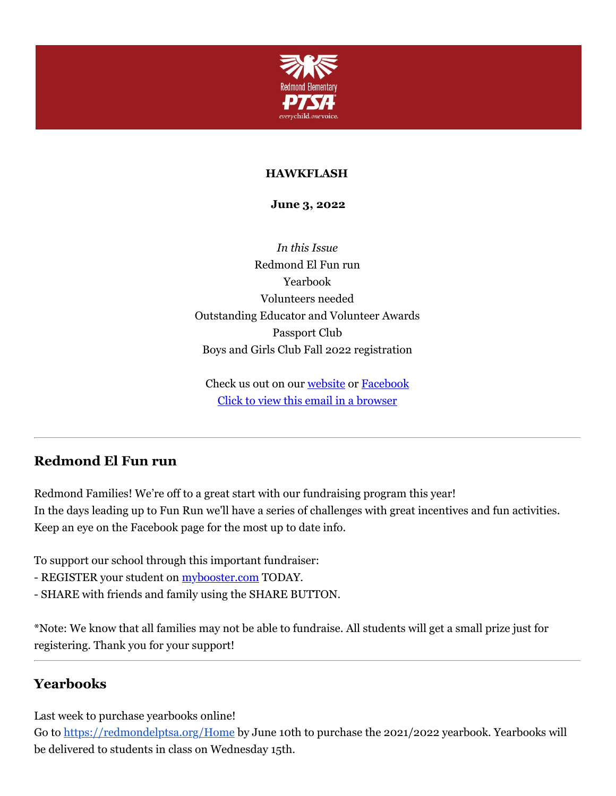

#### **HAWKFLASH**

**June 3, 2022**

*In this Issue* Redmond El Fun run Yearbook Volunteers needed Outstanding Educator and Volunteer Awards Passport Club Boys and Girls Club Fall 2022 registration

Check us out on our [website](https://cts.vresp.com/c/?RedmondElementaryPTS/fd2094af69/f55aa07e44/2ccf588e69) or [Facebook](https://cts.vresp.com/c/?RedmondElementaryPTS/fd2094af69/f55aa07e44/a9f6c99ee4) Click to view this email in a [browser](http://hosted.verticalresponse.com/649438/fd2094af69/TEST/TEST/)

# **Redmond El Fun run**

Redmond Families! We're off to a great start with our fundraising program this year! In the days leading up to Fun Run we'll have a series of challenges with great incentives and fun activities. Keep an eye on the Facebook page for the most up to date info.

To support our school through this important fundraiser:

- REGISTER your student on [mybooster.com](https://cts.vresp.com/c/?RedmondElementaryPTS/fd2094af69/f55aa07e44/6f47199605) TODAY.
- SHARE with friends and family using the SHARE BUTTON.

\*Note: We know that all families may not be able to fundraise. All students will get a small prize just for registering. Thank you for your support!

## **Yearbooks**

Last week to purchase yearbooks online!

Go to <https://redmondelptsa.org/Home> by June 10th to purchase the 2021/2022 yearbook. Yearbooks will be delivered to students in class on Wednesday 15th.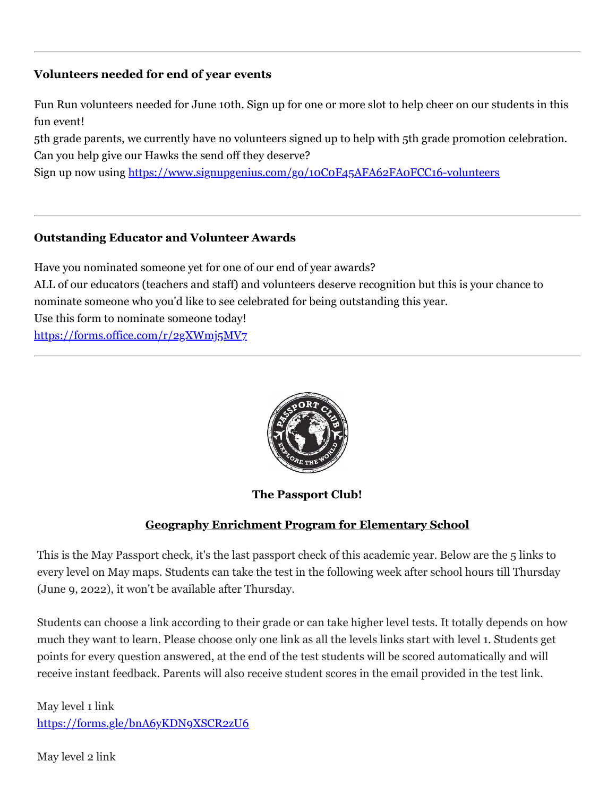### **Volunteers needed for end of year events**

Fun Run volunteers needed for June 10th. Sign up for one or more slot to help cheer on our students in this fun event!

5th grade parents, we currently have no volunteers signed up to help with 5th grade promotion celebration. Can you help give our Hawks the send off they deserve?

Sign up now using [https://www.signupgenius.com/go/10C0F45AFA62FA0FCC16-volunteers](https://cts.vresp.com/c/?RedmondElementaryPTS/fd2094af69/f55aa07e44/dc8489ba6d)

#### **Outstanding Educator and Volunteer Awards**

Have you nominated someone yet for one of our end of year awards?

ALL of our educators (teachers and staff) and volunteers deserve recognition but this is your chance to nominate someone who you'd like to see celebrated for being outstanding this year.

Use this form to nominate someone today!

[https://forms.office.com/r/2gXWmj5MV7](https://cts.vresp.com/c/?RedmondElementaryPTS/fd2094af69/f55aa07e44/5dd5a23189)



#### **The Passport Club!**

## **Geography Enrichment Program for Elementary School**

This is the May Passport check, it's the last passport check of this academic year. Below are the 5 links to every level on May maps. Students can take the test in the following week after school hours till Thursday (June 9, 2022), it won't be available after Thursday.

Students can choose a link according to their grade or can take higher level tests. It totally depends on how much they want to learn. Please choose only one link as all the levels links start with level 1. Students get points for every question answered, at the end of the test students will be scored automatically and will receive instant feedback. Parents will also receive student scores in the email provided in the test link.

May level 1 link [https://forms.gle/bnA6yKDN9XSCR2zU6](https://cts.vresp.com/c/?RedmondElementaryPTS/fd2094af69/f55aa07e44/37b5630ecf)

May level 2 link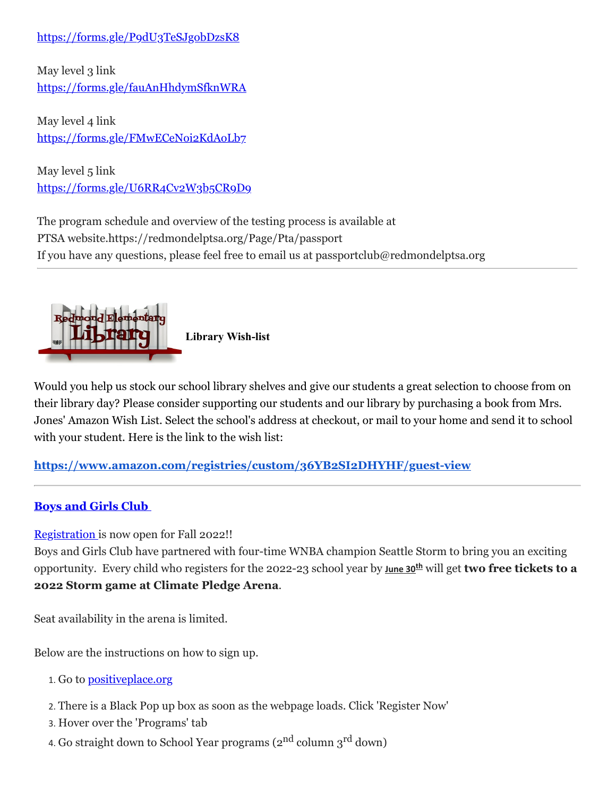[https://forms.gle/P9dU3TeSJgobDzsK8](https://cts.vresp.com/c/?RedmondElementaryPTS/fd2094af69/f55aa07e44/1d025493fc)

May level 3 link [https://forms.gle/fauAnHhdymSfknWRA](https://cts.vresp.com/c/?RedmondElementaryPTS/fd2094af69/f55aa07e44/dfd9efdcef)

May level 4 link [https://forms.gle/FMwECeNoi2KdAoLb7](https://cts.vresp.com/c/?RedmondElementaryPTS/fd2094af69/f55aa07e44/7a91498a90)

May level 5 link [https://forms.gle/U6RR4Cv2W3b5CR9D9](https://cts.vresp.com/c/?RedmondElementaryPTS/fd2094af69/f55aa07e44/e4aa1211b2)

The program schedule and overview of the testing process is available at PTSA website.https://redmondelptsa.org/Page/Pta/passport If you have any questions, please feel free to email us at passportclub@redmondelptsa.org



Would you help us stock our school library shelves and give our students a great selection to choose from on their library day? Please consider supporting our students and our library by purchasing a book from Mrs. Jones' Amazon Wish List. Select the school's address at checkout, or mail to your home and send it to school with your student. Here is the link to the wish list:

#### **<https://www.amazon.com/registries/custom/36YB2SI2DHYHF/guest-view>**

#### **Boys and [Girls Club](https://cts.vresp.com/c/?RedmondElementaryPTS/fd2094af69/f55aa07e44/ba4e76151d)**

[Registration](https://cts.vresp.com/c/?RedmondElementaryPTS/fd2094af69/f55aa07e44/905aaf2109) is now open for Fall 2022!!

Boys and Girls Club have partnered with four-time WNBA champion Seattle Storm to bring you an exciting opportunity. Every child who registers for the 2022-23 school year by **June 30th** will get **two free tickets to a 2022 Storm game at Climate Pledge Arena**.

Seat availability in the arena is limited.

Below are the instructions on how to sign up.

- 1. Go to [positiveplace.org](https://cts.vresp.com/c/?RedmondElementaryPTS/fd2094af69/f55aa07e44/6adaf312d8/url=https%3A%2F%2Fpositiveplace.org%2F&data=05%7C01%7Cascholes%40positiveplace.org%7C0341b55ac85b47e5f90b08da222e60ee%7C10bddbefa7bc43318abd75d1af02150a%7C0%7C0%7C637859879835644377%7CUnknown%7CTWFpbGZsb3d8eyJWIjoiMC4wLjAwMDAiLCJQIjoiV2luMzIiLCJBTiI6Ik1haWwiLCJXVCI6Mn0%3D%7C3000%7C%7C%7C&sdata=q%2BC%2BQNrsRbNlD1lj7DGwa5OvKUyMHE%2BTvSNPAdSZ1Wo%3D&reserved=0)
- 2. There is a Black Pop up box as soon as the webpage loads. Click 'Register Now'
- 3. Hover over the 'Programs' tab
- 4. Go straight down to School Year programs (2<sup>nd</sup> column 3<sup>rd</sup> down)